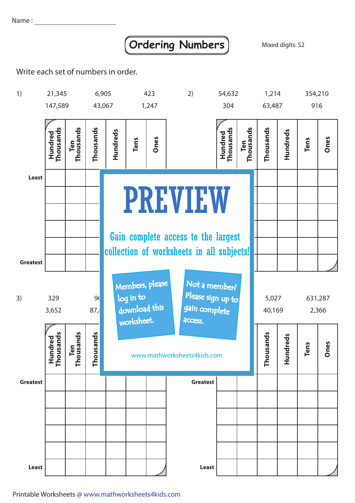Name:

## **Ordering Numbers** Mixed digits: S2

Write each set of numbers in order.



Printable Worksheets @ www.mathworksheets4kids.com